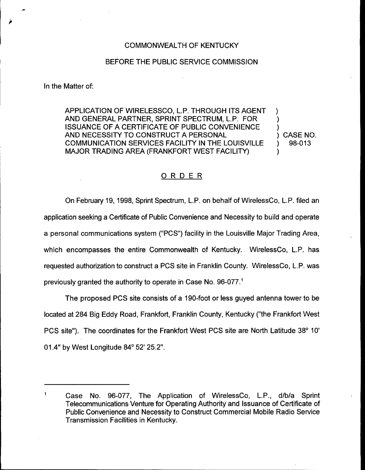## COMMONWEALTH OF KENTUCKY

## BEFORE THE PUBLIC SERVICE COMMISSION

In the Matter of:

APPLICATION OF WIRELESSCO, L.P. THROUGH ITS AGENT AND GENERAL PARTNER, SPRINT SPECTRUM, L.P. FOR ISSUANCE OF A CERTIFICATE OF PUBLIC CONVENIENCE AND NECESSITY TO CONSTRUCT A PERSONAL COMMUNICATION SERVICES FACILITY IN THE LOUISVILLE MAJOR TRADING AREA (FRANKFORT WEST FACILITY)

) CASE NO. ) 98-013

) ) )

)

## ORDER

On February 19, 1998, Sprint Spectrum, L.P. on behalf of WirelessCo, L.P. filed an application seeking a Certificate of Public Convenience and Necessity to build and operate a personal communications system ("PCS") facility in the Louisville Major Trading Area, which encompasses the entire Commonwealth of Kentucky. WirelessCo, L.P. has requested authorization to construct a PCS site in Franklin County. WirelessCo, L.P. was previously granted the authority to operate in Case No. 96-077.<sup>1</sup>

The proposed PCS site consists of a 190-foot or less guyed antenna tower to be located at 284 Big Eddy Road, Frankfort, Franklin County, Kentucky ("the Frankfort West PCS site"). The coordinates for the Frankfort West PCS site are North Latitude 01.4" by West Longitude 84° 52' 25.2".

 $\ddagger$ Case No. 96-077, The Application of WirelessCo, L.P., d/b/a Sprint Telecommunications Venture for Operating Authority and Issuance of Certificate of Public Convenience and Necessity to Construct Commercial Mobile Radio Service Transmission Facilities in Kentucky.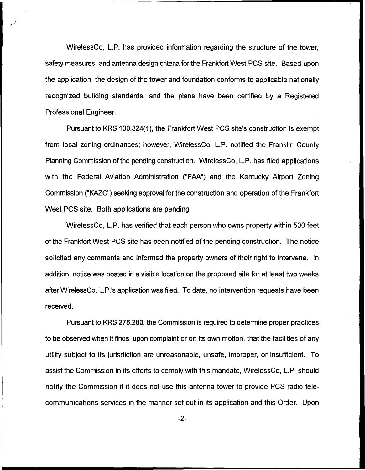WirelessCo, L.P. has provided information regarding the structure of the tower, safety measures, and antenna design criteria for the Frankfort West PCS site. Based upon the application, the design of the tower and foundation conforms to applicable nationally recognized building standards, and the plans have been certified by a Registered Professional Engineer.

Pursuant to KRS 100.324(1), the Frankfort West PCS site's construction is exempt from local zoning ordinances; however, WirelessCo, L.P. notified the Franklin County Planning Commission of the pending construction. WirelessCo, L.P. has filed applications with the Federal Aviation Administration ("FAA") and the Kentucky Airport Zoning Commission ("KAZC") seeking approval for the construction and operation of the Frankfort West PCS site. Both applications are pending.

WirelessCo, L.P. has verified that each person who owns property within 500 feet of the Frankfort West PCS site has been notified of the pending construction. The notice solicited any comments and informed the property owners of their right to intervene. In addition, notice was posted in a visible location on the proposed site for at least two weeks after WirelessCo, L.P.'s application was filed. To date, no intervention requests have been received.

Pursuant to KRS 278.280, the Commission is required to determine proper practices to be observed when it finds, upon complaint or on its own motion, that the facilities of any utility subject to its jurisdiction are unreasonable, unsafe, improper, or insufficient. To assist the Commission in its efforts to comply with this mandate, WirelessCo, L.P. should notify the Commission if it does not use this antenna tower to provide PCS radio telecommunications services in the manner set out in its application and this Order. Upon

-2-